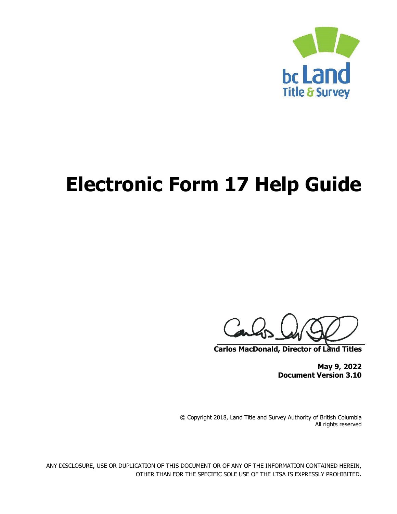

# **Electronic Form 17 Help Guide**

Carl

**Carlos MacDonald, Director of Land Titles**

**May 9, 2022 Document Version 3.10**

© Copyright 2018, Land Title and Survey Authority of British Columbia All rights reserved

ANY DISCLOSURE, USE OR DUPLICATION OF THIS DOCUMENT OR OF ANY OF THE INFORMATION CONTAINED HEREIN, OTHER THAN FOR THE SPECIFIC SOLE USE OF THE LTSA IS EXPRESSLY PROHIBITED.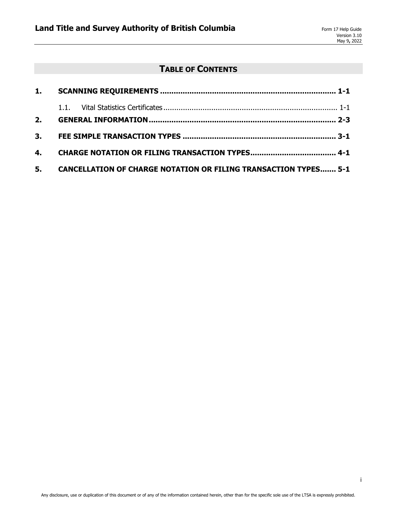## **TABLE OF CONTENTS**

|  | 5. CANCELLATION OF CHARGE NOTATION OR FILING TRANSACTION TYPES 5-1 |
|--|--------------------------------------------------------------------|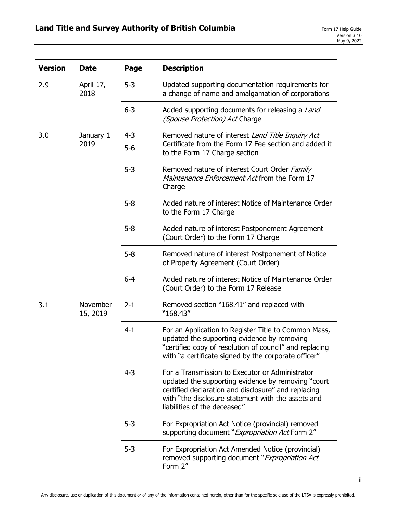| <b>Version</b>              | <b>Date</b>       | Page             | <b>Description</b>                                                                                                                                                                                                                                  |
|-----------------------------|-------------------|------------------|-----------------------------------------------------------------------------------------------------------------------------------------------------------------------------------------------------------------------------------------------------|
| 2.9                         | April 17,<br>2018 | $5 - 3$          | Updated supporting documentation requirements for<br>a change of name and amalgamation of corporations                                                                                                                                              |
|                             |                   | $6 - 3$          | Added supporting documents for releasing a Land<br>(Spouse Protection) Act Charge                                                                                                                                                                   |
| 3.0                         | January 1<br>2019 | $4 - 3$<br>$5-6$ | Removed nature of interest Land Title Inquiry Act<br>Certificate from the Form 17 Fee section and added it<br>to the Form 17 Charge section                                                                                                         |
|                             |                   | $5 - 3$          | Removed nature of interest Court Order Family<br>Maintenance Enforcement Act from the Form 17<br>Charge                                                                                                                                             |
|                             |                   | $5 - 8$          | Added nature of interest Notice of Maintenance Order<br>to the Form 17 Charge                                                                                                                                                                       |
|                             |                   | $5 - 8$          | Added nature of interest Postponement Agreement<br>(Court Order) to the Form 17 Charge                                                                                                                                                              |
|                             |                   | $5 - 8$          | Removed nature of interest Postponement of Notice<br>of Property Agreement (Court Order)                                                                                                                                                            |
|                             |                   | $6 - 4$          | Added nature of interest Notice of Maintenance Order<br>(Court Order) to the Form 17 Release                                                                                                                                                        |
| 3.1<br>November<br>15, 2019 |                   | $2 - 1$          | Removed section "168.41" and replaced with<br>"168.43"                                                                                                                                                                                              |
|                             |                   | $4 - 1$          | For an Application to Register Title to Common Mass,<br>updated the supporting evidence by removing<br>"certified copy of resolution of council" and replacing<br>with "a certificate signed by the corporate officer"                              |
|                             |                   | $4 - 3$          | For a Transmission to Executor or Administrator<br>updated the supporting evidence by removing "court"<br>certified declaration and disclosure" and replacing<br>with "the disclosure statement with the assets and<br>liabilities of the deceased" |
|                             |                   | $5 - 3$          | For Expropriation Act Notice (provincial) removed<br>supporting document "Expropriation Act Form 2"                                                                                                                                                 |
|                             |                   | $5 - 3$          | For Expropriation Act Amended Notice (provincial)<br>removed supporting document "Expropriation Act<br>Form 2"                                                                                                                                      |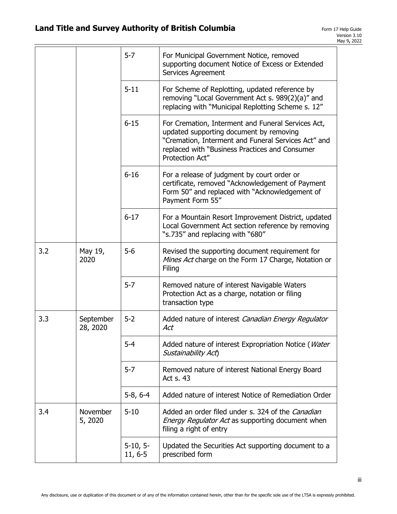|     |                       | $5 - 7$                   | For Municipal Government Notice, removed<br>supporting document Notice of Excess or Extended<br>Services Agreement                                                                                                        |
|-----|-----------------------|---------------------------|---------------------------------------------------------------------------------------------------------------------------------------------------------------------------------------------------------------------------|
|     |                       | $5 - 11$                  | For Scheme of Replotting, updated reference by<br>removing "Local Government Act s. 989(2)(a)" and<br>replacing with "Municipal Replotting Scheme s. 12"                                                                  |
|     |                       | $6 - 15$                  | For Cremation, Interment and Funeral Services Act,<br>updated supporting document by removing<br>"Cremation, Interment and Funeral Services Act" and<br>replaced with "Business Practices and Consumer<br>Protection Act" |
|     |                       | $6 - 16$                  | For a release of judgment by court order or<br>certificate, removed "Acknowledgement of Payment<br>Form 50" and replaced with "Acknowledgement of<br>Payment Form 55"                                                     |
|     |                       | $6 - 17$                  | For a Mountain Resort Improvement District, updated<br>Local Government Act section reference by removing<br>"s.735" and replacing with "680"                                                                             |
| 3.2 | May 19,<br>2020       | $5-6$                     | Revised the supporting document requirement for<br>Mines Act charge on the Form 17 Charge, Notation or<br>Filing                                                                                                          |
|     |                       | $5 - 7$                   | Removed nature of interest Navigable Waters<br>Protection Act as a charge, notation or filing<br>transaction type                                                                                                         |
| 3.3 | September<br>28, 2020 | $5 - 2$                   | Added nature of interest Canadian Energy Regulator<br>Act                                                                                                                                                                 |
|     |                       | $5 - 4$                   | Added nature of interest Expropriation Notice (Water<br>Sustainability Act)                                                                                                                                               |
|     |                       | $5 - 7$                   | Removed nature of interest National Energy Board<br>Act s. 43                                                                                                                                                             |
|     |                       | $5-8, 6-4$                | Added nature of interest Notice of Remediation Order                                                                                                                                                                      |
| 3.4 | November<br>5, 2020   | $5 - 10$                  | Added an order filed under s. 324 of the Canadian<br>Energy Regulator Act as supporting document when<br>filing a right of entry                                                                                          |
|     |                       | $5-10, 5-$<br>$11, 6 - 5$ | Updated the Securities Act supporting document to a<br>prescribed form                                                                                                                                                    |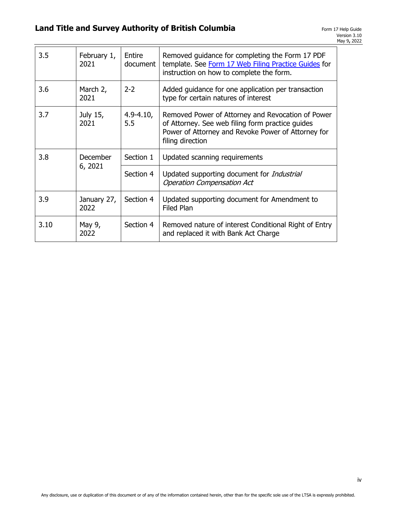| 3.5  | February 1,<br>2021 | Entire<br>document   | Removed guidance for completing the Form 17 PDF<br>template. See Form 17 Web Filing Practice Guides for<br>instruction on how to complete the form.                             |
|------|---------------------|----------------------|---------------------------------------------------------------------------------------------------------------------------------------------------------------------------------|
| 3.6  | March 2,<br>2021    | $2 - 2$              | Added guidance for one application per transaction<br>type for certain natures of interest                                                                                      |
| 3.7  | July 15,<br>2021    | $4.9 - 4.10,$<br>5.5 | Removed Power of Attorney and Revocation of Power<br>of Attorney. See web filing form practice guides<br>Power of Attorney and Revoke Power of Attorney for<br>filing direction |
| 3.8  | <b>December</b>     | Section 1            | Updated scanning requirements                                                                                                                                                   |
|      | 6, 2021             | Section 4            | Updated supporting document for Industrial<br><b>Operation Compensation Act</b>                                                                                                 |
| 3.9  | January 27,<br>2022 | Section 4            | Updated supporting document for Amendment to<br><b>Filed Plan</b>                                                                                                               |
| 3.10 | May 9,<br>2022      | Section 4            | Removed nature of interest Conditional Right of Entry<br>and replaced it with Bank Act Charge                                                                                   |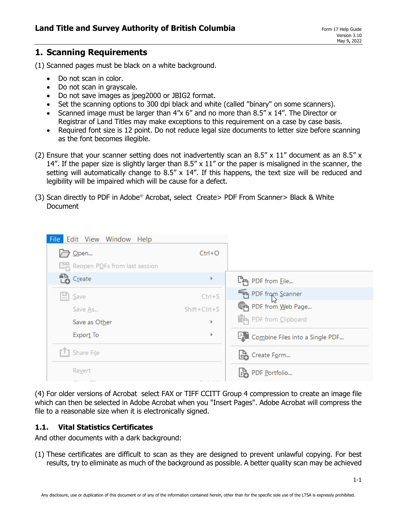## **1. Scanning Requirements**

(1) Scanned pages must be black on a white background.

- Do not scan in color.
- Do not scan in grayscale.
- Do not save images as jpeg2000 or JBIG2 format.
- Set the scanning options to 300 dpi black and white (called "binary" on some scanners).
- Scanned image must be larger than 4"x 6" and no more than 8.5" x 14". The Director or Registrar of Land Titles may make exceptions to this requirement on a case by case basis.
- Required font size is 12 point. Do not reduce legal size documents to letter size before scanning as the font becomes illegible.
- (2) Ensure that your scanner setting does not inadvertently scan an 8.5" x 11" document as an 8.5" x 14". If the paper size is slightly larger than  $8.5'' \times 11''$  or the paper is misaligned in the scanner, the setting will automatically change to 8.5" x 14". If this happens, the text size will be reduced and legibility will be impaired which will be cause for a defect.
- (3) Scan directly to PDF in Adobe<sup>®</sup> Acrobat, select Create> PDF From Scanner> Black & White Document

| File Edit View Window Help    |                |                                    |
|-------------------------------|----------------|------------------------------------|
| Open                          | $Ctrl + O$     |                                    |
| Reopen PDFs from last session |                |                                    |
| <b>Les</b> Create             | r              | <b>ြန္ျ</b> PDF from File          |
| $\Box$ Save                   | $Ctrl + S$     | PDF from Scanner                   |
| Save As                       | $Shift+Ctrl+S$ | PDF from Web Page                  |
| Save as Other                 | Þ              | PDF from Clipboard                 |
| Export To                     | r              | LA Combine Files into a Single PDF |
| T] Share File                 |                | Create Form                        |
| Revert                        |                | Lion PDF Portfolio                 |

(4) For older versions of Acrobat select FAX or TIFF CCITT Group 4 compression to create an image file which can then be selected in Adobe Acrobat when you "Insert Pages". Adobe Acrobat will compress the file to a reasonable size when it is electronically signed.

#### **1.1. Vital Statistics Certificates**

And other documents with a dark background:

(1) These certificates are difficult to scan as they are designed to prevent unlawful copying. For best results, try to eliminate as much of the background as possible. A better quality scan may be achieved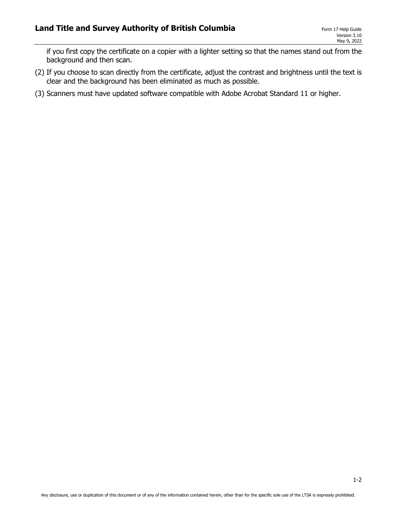if you first copy the certificate on a copier with a lighter setting so that the names stand out from the background and then scan.

- (2) If you choose to scan directly from the certificate, adjust the contrast and brightness until the text is clear and the background has been eliminated as much as possible.
- (3) Scanners must have updated software compatible with Adobe Acrobat Standard 11 or higher.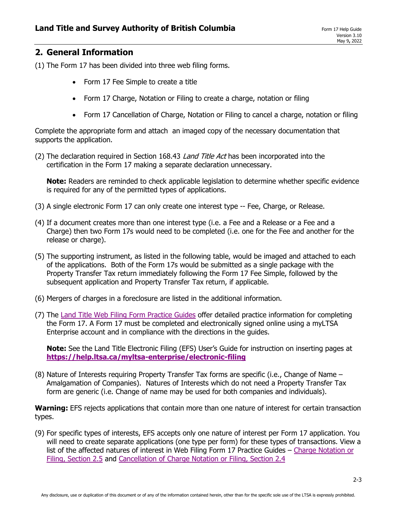## **2. General Information**

(1) The Form 17 has been divided into three web filing forms.

- Form 17 Fee Simple to create a title
- Form 17 Charge, Notation or Filing to create a charge, notation or filing
- Form 17 Cancellation of Charge, Notation or Filing to cancel a charge, notation or filing

Complete the appropriate form and attach an imaged copy of the necessary documentation that supports the application.

(2) The declaration required in Section 168.43 Land Title Act has been incorporated into the certification in the Form 17 making a separate declaration unnecessary.

**Note:** Readers are reminded to check applicable legislation to determine whether specific evidence is required for any of the permitted types of applications.

- (3) A single electronic Form 17 can only create one interest type -- Fee, Charge, or Release.
- (4) If a document creates more than one interest type (i.e. a Fee and a Release or a Fee and a Charge) then two Form 17s would need to be completed (i.e. one for the Fee and another for the release or charge).
- (5) The supporting instrument, as listed in the following table, would be imaged and attached to each of the applications. Both of the Form 17s would be submitted as a single package with the Property Transfer Tax return immediately following the Form 17 Fee Simple, followed by the subsequent application and Property Transfer Tax return, if applicable.
- (6) Mergers of charges in a foreclosure are listed in the additional information.
- (7) The [Land Title Web Filing Form Practice Guides](https://help.ltsa.ca/myltsa-enterprise/web-filing/land-title-web-filing-forms-practice-guide) offer detailed practice information for completing the Form 17. A Form 17 must be completed and electronically signed online using a myLTSA Enterprise account and in compliance with the directions in the guides.

**Note:** See the Land Title Electronic Filing (EFS) User's Guide for instruction on inserting pages at **<https://help.ltsa.ca/myltsa-enterprise/electronic-filing>**

(8) Nature of Interests requiring Property Transfer Tax forms are specific (i.e., Change of Name – Amalgamation of Companies). Natures of Interests which do not need a Property Transfer Tax form are generic (i.e. Change of name may be used for both companies and individuals).

**Warning:** EFS rejects applications that contain more than one nature of interest for certain transaction types.

(9) For specific types of interests, EFS accepts only one nature of interest per Form 17 application. You will need to create separate applications (one type per form) for these types of transactions. View a list of the affected natures of interest in Web Filing Form 17 Practice Guides - Charge Notation or [Filing, Section 2.5](https://help.ltsa.ca/myltsa-enterprise/form-17-charge-notation-or-filing) and [Cancellation of Charge Notation or Filing, Section 2.4](https://help.ltsa.ca/myltsa-enterprise/form-17-cancellation-charge-notation-or-filing)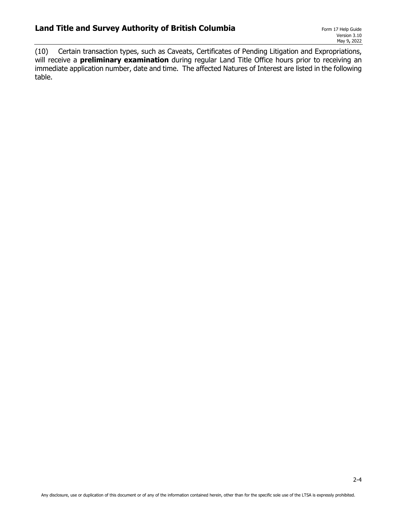(10) Certain transaction types, such as Caveats, Certificates of Pending Litigation and Expropriations, will receive a **preliminary examination** during regular Land Title Office hours prior to receiving an immediate application number, date and time. The affected Natures of Interest are listed in the following table.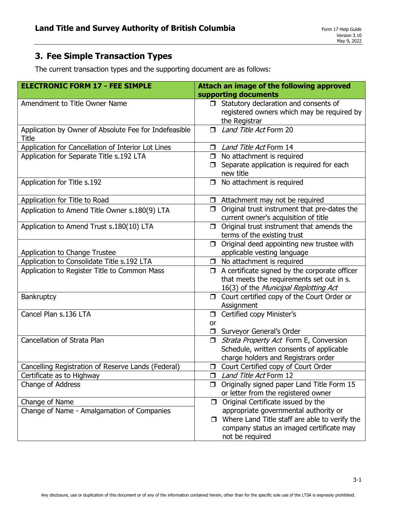### The current transaction types and the supporting document are as follows:

| <b>ELECTRONIC FORM 17 - FEE SIMPLE</b>                                | Attach an image of the following approved                                                                                                                    |
|-----------------------------------------------------------------------|--------------------------------------------------------------------------------------------------------------------------------------------------------------|
|                                                                       | supporting documents                                                                                                                                         |
| Amendment to Title Owner Name                                         | $\Box$ Statutory declaration and consents of<br>registered owners which may be required by<br>the Registrar                                                  |
| Application by Owner of Absolute Fee for Indefeasible<br><b>Title</b> | Land Title Act Form 20<br>$\Box$                                                                                                                             |
| Application for Cancellation of Interior Lot Lines                    | Land Title Act Form 14<br>$\Box$                                                                                                                             |
| Application for Separate Title s.192 LTA                              | $\Box$ No attachment is required<br>Separate application is required for each<br>new title                                                                   |
| Application for Title s.192                                           | No attachment is required<br>$\Box$                                                                                                                          |
| Application for Title to Road                                         | $\Box$ Attachment may not be required                                                                                                                        |
| Application to Amend Title Owner s.180(9) LTA                         | Original trust instrument that pre-dates the<br>$\Box$<br>current owner's acquisition of title                                                               |
| Application to Amend Trust s.180(10) LTA                              | Original trust instrument that amends the<br>$\Box$<br>terms of the existing trust                                                                           |
| Application to Change Trustee                                         | Original deed appointing new trustee with<br>$\Box$<br>applicable vesting language                                                                           |
| Application to Consolidate Title s.192 LTA                            | No attachment is required<br>$\Box$                                                                                                                          |
| Application to Register Title to Common Mass                          | $\Box$ A certificate signed by the corporate officer<br>that meets the requirements set out in s.<br>16(3) of the Municipal Replotting Act                   |
| Bankruptcy                                                            | Court certified copy of the Court Order or<br>$\Box$<br>Assignment                                                                                           |
| Cancel Plan s.136 LTA                                                 | Certified copy Minister's<br>$\Box$                                                                                                                          |
|                                                                       | <b>or</b>                                                                                                                                                    |
|                                                                       | Surveyor General's Order<br>$\Box$                                                                                                                           |
| Cancellation of Strata Plan                                           | Strata Property Act Form E, Conversion<br>$\Box$<br>Schedule, written consents of applicable<br>charge holders and Registrars order                          |
| Cancelling Registration of Reserve Lands (Federal)                    | O Court Certified copy of Court Order                                                                                                                        |
| Certificate as to Highway                                             | Land Title Act Form 12<br>$\Box$                                                                                                                             |
| Change of Address                                                     | Originally signed paper Land Title Form 15<br>$\Box$<br>or letter from the registered owner                                                                  |
| Change of Name                                                        | $\Box$ Original Certificate issued by the                                                                                                                    |
| Change of Name - Amalgamation of Companies                            | appropriate governmental authority or<br>$\Box$ Where Land Title staff are able to verify the<br>company status an imaged certificate may<br>not be required |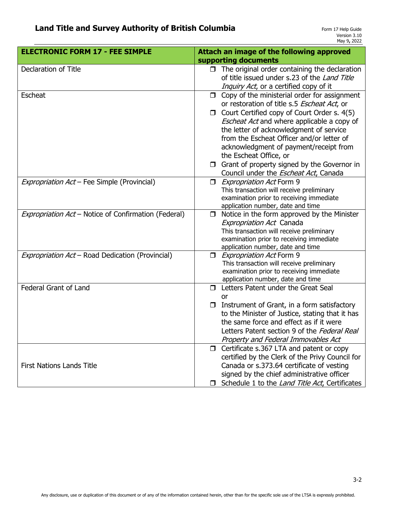| <b>ELECTRONIC FORM 17 - FEE SIMPLE</b>               | Attach an image of the following approved                                     |
|------------------------------------------------------|-------------------------------------------------------------------------------|
|                                                      | supporting documents                                                          |
| Declaration of Title                                 | $\Box$ The original order containing the declaration                          |
|                                                      | of title issued under s.23 of the Land Title                                  |
|                                                      | Inquiry Act, or a certified copy of it                                        |
| <b>Escheat</b>                                       | $\Box$ Copy of the ministerial order for assignment                           |
|                                                      | or restoration of title s.5 Escheat Act, or                                   |
|                                                      | $\Box$ Court Certified copy of Court Order s. 4(5)                            |
|                                                      | Escheat Act and where applicable a copy of                                    |
|                                                      | the letter of acknowledgment of service                                       |
|                                                      | from the Escheat Officer and/or letter of                                     |
|                                                      | acknowledgment of payment/receipt from                                        |
|                                                      | the Escheat Office, or                                                        |
|                                                      | $\Box$ Grant of property signed by the Governor in                            |
|                                                      | Council under the <i>Escheat Act</i> , Canada                                 |
| Expropriation Act - Fee Simple (Provincial)          | <i>Expropriation Act</i> Form 9<br>$\Box$                                     |
|                                                      | This transaction will receive preliminary                                     |
|                                                      | examination prior to receiving immediate                                      |
|                                                      | application number, date and time                                             |
| Expropriation Act - Notice of Confirmation (Federal) | Notice in the form approved by the Minister<br>$\Box$                         |
|                                                      | <b>Expropriation Act Canada</b>                                               |
|                                                      | This transaction will receive preliminary                                     |
|                                                      | examination prior to receiving immediate                                      |
|                                                      | application number, date and time                                             |
| Expropriation Act - Road Dedication (Provincial)     | Expropriation Act Form 9                                                      |
|                                                      | This transaction will receive preliminary                                     |
|                                                      | examination prior to receiving immediate<br>application number, date and time |
| <b>Federal Grant of Land</b>                         | Letters Patent under the Great Seal<br>П.                                     |
|                                                      | <b>or</b>                                                                     |
|                                                      | $\Box$ Instrument of Grant, in a form satisfactory                            |
|                                                      | to the Minister of Justice, stating that it has                               |
|                                                      | the same force and effect as if it were                                       |
|                                                      | Letters Patent section 9 of the Federal Real                                  |
|                                                      | Property and Federal Immovables Act                                           |
|                                                      | Certificate s.367 LTA and patent or copy<br>$\Box$                            |
|                                                      | certified by the Clerk of the Privy Council for                               |
| <b>First Nations Lands Title</b>                     | Canada or s.373.64 certificate of vesting                                     |
|                                                      |                                                                               |
|                                                      | signed by the chief administrative officer                                    |
|                                                      | Schedule 1 to the Land Title Act, Certificates<br>⊓.                          |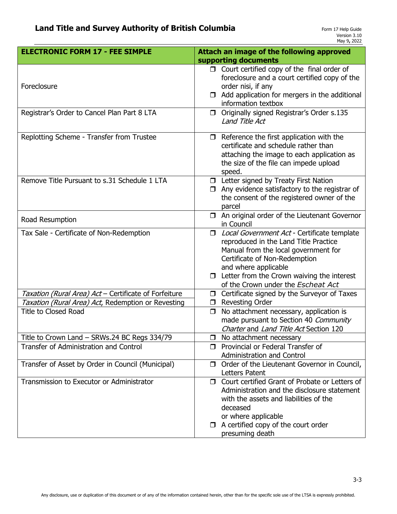| <b>ELECTRONIC FORM 17 - FEE SIMPLE</b>                | Attach an image of the following approved                                                                                                                                                                                                                                          |
|-------------------------------------------------------|------------------------------------------------------------------------------------------------------------------------------------------------------------------------------------------------------------------------------------------------------------------------------------|
|                                                       | supporting documents                                                                                                                                                                                                                                                               |
| Foreclosure                                           | $\Box$ Court certified copy of the final order of<br>foreclosure and a court certified copy of the<br>order nisi, if any<br>$\Box$ Add application for mergers in the additional<br>information textbox                                                                            |
| Registrar's Order to Cancel Plan Part 8 LTA           | Originally signed Registrar's Order s.135<br>$\Box$<br>Land Title Act                                                                                                                                                                                                              |
| Replotting Scheme - Transfer from Trustee             | $\Box$ Reference the first application with the<br>certificate and schedule rather than<br>attaching the image to each application as<br>the size of the file can impede upload<br>speed.                                                                                          |
| Remove Title Pursuant to s.31 Schedule 1 LTA          | <b>D</b> Letter signed by Treaty First Nation<br>Any evidence satisfactory to the registrar of<br>□<br>the consent of the registered owner of the<br>parcel                                                                                                                        |
| Road Resumption                                       | $\Box$ An original order of the Lieutenant Governor<br>in Council                                                                                                                                                                                                                  |
| Tax Sale - Certificate of Non-Redemption              | □ Local Government Act - Certificate template<br>reproduced in the Land Title Practice<br>Manual from the local government for<br>Certificate of Non-Redemption<br>and where applicable<br>$\Box$ Letter from the Crown waiving the interest<br>of the Crown under the Escheat Act |
| Taxation (Rural Area) Act - Certificate of Forfeiture | Certificate signed by the Surveyor of Taxes<br>$\Box$                                                                                                                                                                                                                              |
| Taxation (Rural Area) Act, Redemption or Revesting    | <b>Revesting Order</b><br>$\Box$                                                                                                                                                                                                                                                   |
| <b>Title to Closed Road</b>                           | No attachment necessary, application is<br>$\Box$<br>made pursuant to Section 40 Community<br>Charter and Land Title Act Section 120                                                                                                                                               |
| Title to Crown Land – SRWs.24 BC Regs 334/79          | No attachment necessary<br>ப                                                                                                                                                                                                                                                       |
| Transfer of Administration and Control                | <b>D</b> Provincial or Federal Transfer of<br><b>Administration and Control</b>                                                                                                                                                                                                    |
| Transfer of Asset by Order in Council (Municipal)     | $\Box$ Order of the Lieutenant Governor in Council,<br>Letters Patent                                                                                                                                                                                                              |
| Transmission to Executor or Administrator             | □ Court certified Grant of Probate or Letters of<br>Administration and the disclosure statement<br>with the assets and liabilities of the<br>deceased<br>or where applicable<br>$\Box$ A certified copy of the court order<br>presuming death                                      |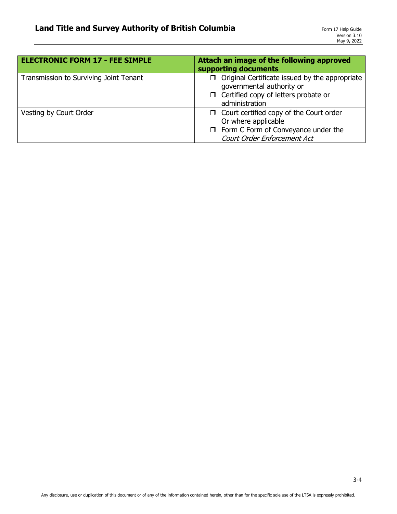| <b>ELECTRONIC FORM 17 - FEE SIMPLE</b> | Attach an image of the following approved<br>supporting documents                                                                                   |
|----------------------------------------|-----------------------------------------------------------------------------------------------------------------------------------------------------|
| Transmission to Surviving Joint Tenant | $\Box$ Original Certificate issued by the appropriate<br>governmental authority or<br>$\Box$ Certified copy of letters probate or<br>administration |
| Vesting by Court Order                 | $\Box$ Court certified copy of the Court order<br>Or where applicable<br>$\Box$ Form C Form of Conveyance under the<br>Court Order Enforcement Act  |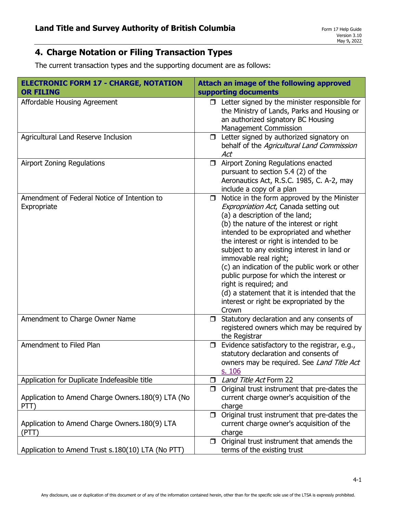# **4. Charge Notation or Filing Transaction Types**

The current transaction types and the supporting document are as follows:

| <b>ELECTRONIC FORM 17 - CHARGE, NOTATION</b><br><b>OR FILING</b> | Attach an image of the following approved<br>supporting documents                                                                                                                                                                                                                                                                                                                                                                                                                                                                                                     |
|------------------------------------------------------------------|-----------------------------------------------------------------------------------------------------------------------------------------------------------------------------------------------------------------------------------------------------------------------------------------------------------------------------------------------------------------------------------------------------------------------------------------------------------------------------------------------------------------------------------------------------------------------|
| Affordable Housing Agreement                                     | $\Box$ Letter signed by the minister responsible for<br>the Ministry of Lands, Parks and Housing or<br>an authorized signatory BC Housing<br><b>Management Commission</b>                                                                                                                                                                                                                                                                                                                                                                                             |
| Agricultural Land Reserve Inclusion                              | Letter signed by authorized signatory on<br>$\Box$<br>behalf of the Agricultural Land Commission<br>Act                                                                                                                                                                                                                                                                                                                                                                                                                                                               |
| <b>Airport Zoning Regulations</b>                                | Airport Zoning Regulations enacted<br>$\Box$<br>pursuant to section 5.4 (2) of the<br>Aeronautics Act, R.S.C. 1985, C. A-2, may<br>include a copy of a plan                                                                                                                                                                                                                                                                                                                                                                                                           |
| Amendment of Federal Notice of Intention to<br>Expropriate       | Notice in the form approved by the Minister<br>$\Box$<br>Expropriation Act, Canada setting out<br>(a) a description of the land;<br>(b) the nature of the interest or right<br>intended to be expropriated and whether<br>the interest or right is intended to be<br>subject to any existing interest in land or<br>immovable real right;<br>(c) an indication of the public work or other<br>public purpose for which the interest or<br>right is required; and<br>(d) a statement that it is intended that the<br>interest or right be expropriated by the<br>Crown |
| Amendment to Charge Owner Name                                   | Statutory declaration and any consents of<br>$\Box$<br>registered owners which may be required by<br>the Registrar                                                                                                                                                                                                                                                                                                                                                                                                                                                    |
| Amendment to Filed Plan                                          | Evidence satisfactory to the registrar, e.g.,<br>$\Box$<br>statutory declaration and consents of<br>owners may be required. See Land Title Act<br>s. 106                                                                                                                                                                                                                                                                                                                                                                                                              |
| Application for Duplicate Indefeasible title                     | Land Title Act Form 22<br>$\Box$                                                                                                                                                                                                                                                                                                                                                                                                                                                                                                                                      |
| Application to Amend Charge Owners. 180(9) LTA (No<br>PTT)       | Original trust instrument that pre-dates the<br>$\Box$<br>current charge owner's acquisition of the<br>charge                                                                                                                                                                                                                                                                                                                                                                                                                                                         |
| Application to Amend Charge Owners. 180(9) LTA<br>(PTT)          | Original trust instrument that pre-dates the<br>$\Box$<br>current charge owner's acquisition of the<br>charge                                                                                                                                                                                                                                                                                                                                                                                                                                                         |
| Application to Amend Trust s.180(10) LTA (No PTT)                | Original trust instrument that amends the<br>$\Box$<br>terms of the existing trust                                                                                                                                                                                                                                                                                                                                                                                                                                                                                    |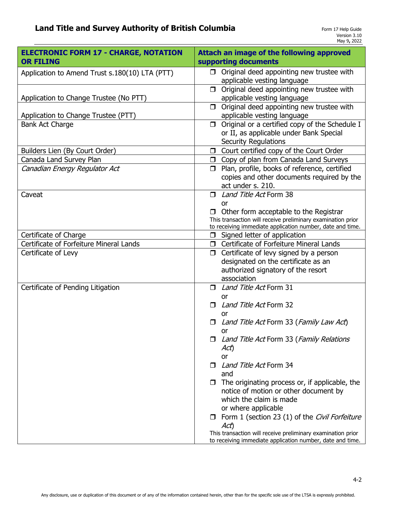| <b>ELECTRONIC FORM 17 - CHARGE, NOTATION</b><br><b>OR FILING</b> | <b>Attach an image of the following approved</b><br>supporting documents                                                                                                        |
|------------------------------------------------------------------|---------------------------------------------------------------------------------------------------------------------------------------------------------------------------------|
| Application to Amend Trust s.180(10) LTA (PTT)                   | $\Box$ Original deed appointing new trustee with<br>applicable vesting language                                                                                                 |
| Application to Change Trustee (No PTT)                           | Original deed appointing new trustee with<br>$\Box$<br>applicable vesting language                                                                                              |
| Application to Change Trustee (PTT)                              | Original deed appointing new trustee with<br>$\Box$<br>applicable vesting language                                                                                              |
| <b>Bank Act Charge</b>                                           | Original or a certified copy of the Schedule I<br>$\Box$<br>or II, as applicable under Bank Special<br><b>Security Regulations</b>                                              |
| Builders Lien (By Court Order)                                   | Court certified copy of the Court Order<br>$\Box$                                                                                                                               |
| Canada Land Survey Plan                                          | □ Copy of plan from Canada Land Surveys                                                                                                                                         |
| Canadian Energy Regulator Act                                    | Plan, profile, books of reference, certified<br>П.<br>copies and other documents required by the<br>act under s. 210.                                                           |
| Caveat                                                           | Land Title Act Form 38                                                                                                                                                          |
|                                                                  | or<br>$\Box$ Other form acceptable to the Registrar<br>This transaction will receive preliminary examination prior<br>to receiving immediate application number, date and time. |
| Certificate of Charge                                            | Signed letter of application<br>$\Box$                                                                                                                                          |
| Certificate of Forfeiture Mineral Lands                          | □ Certificate of Forfeiture Mineral Lands                                                                                                                                       |
| Certificate of Levy                                              | Certificate of levy signed by a person<br>$\Box$<br>designated on the certificate as an<br>authorized signatory of the resort<br>association                                    |
| Certificate of Pending Litigation                                | Land Title Act Form 31<br>or                                                                                                                                                    |
|                                                                  | Land Title Act Form 32<br>□<br>or                                                                                                                                               |
|                                                                  | Land Title Act Form 33 (Family Law Act)<br>$\Box$<br>or                                                                                                                         |
|                                                                  | □ Land Title Act Form 33 (Family Relations<br>Act)<br>or                                                                                                                        |
|                                                                  | Land Title Act Form 34<br>and                                                                                                                                                   |
|                                                                  | The originating process or, if applicable, the<br>$\Box$<br>notice of motion or other document by<br>which the claim is made<br>or where applicable                             |
|                                                                  | $\Box$ Form 1 (section 23 (1) of the Civil Forfeiture<br>Act)                                                                                                                   |
|                                                                  | This transaction will receive preliminary examination prior<br>to receiving immediate application number, date and time.                                                        |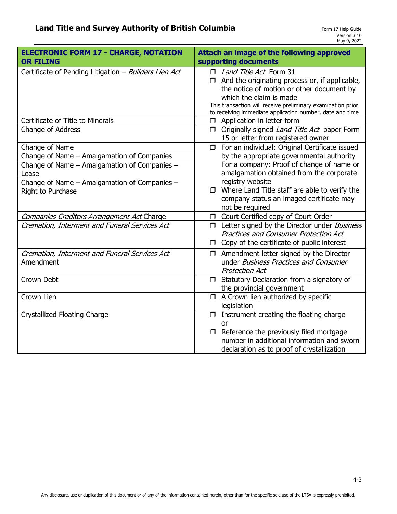| <b>ELECTRONIC FORM 17 - CHARGE, NOTATION</b><br><b>OR FILING</b>                                                                                                                           | <b>Attach an image of the following approved</b><br>supporting documents                                                                                                                                                                                                                                                          |
|--------------------------------------------------------------------------------------------------------------------------------------------------------------------------------------------|-----------------------------------------------------------------------------------------------------------------------------------------------------------------------------------------------------------------------------------------------------------------------------------------------------------------------------------|
| Certificate of Pending Litigation - Builders Lien Act                                                                                                                                      | Land Title Act Form 31<br>And the originating process or, if applicable,<br>the notice of motion or other document by<br>which the claim is made<br>This transaction will receive preliminary examination prior<br>to receiving immediate application number, date and time                                                       |
| Certificate of Title to Minerals                                                                                                                                                           | Application in letter form<br>$\Box$                                                                                                                                                                                                                                                                                              |
| Change of Address                                                                                                                                                                          | Originally signed Land Title Act paper Form<br>$\Box$<br>15 or letter from registered owner                                                                                                                                                                                                                                       |
| Change of Name<br>Change of Name - Amalgamation of Companies<br>Change of Name - Amalgamation of Companies -<br>Lease<br>Change of Name - Amalgamation of Companies -<br>Right to Purchase | □ For an individual: Original Certificate issued<br>by the appropriate governmental authority<br>For a company: Proof of change of name or<br>amalgamation obtained from the corporate<br>registry website<br>$\Box$ Where Land Title staff are able to verify the<br>company status an imaged certificate may<br>not be required |
| Companies Creditors Arrangement Act Charge                                                                                                                                                 | Court Certified copy of Court Order<br>$\Box$                                                                                                                                                                                                                                                                                     |
| Cremation, Interment and Funeral Services Act                                                                                                                                              | Letter signed by the Director under Business<br>$\Box$<br><b>Practices and Consumer Protection Act</b><br>Copy of the certificate of public interest<br>$\Box$                                                                                                                                                                    |
| Cremation, Interment and Funeral Services Act<br>Amendment                                                                                                                                 | Amendment letter signed by the Director<br>$\Box$<br>under Business Practices and Consumer<br><b>Protection Act</b>                                                                                                                                                                                                               |
| Crown Debt                                                                                                                                                                                 | Statutory Declaration from a signatory of<br>$\Box$<br>the provincial government                                                                                                                                                                                                                                                  |
| Crown Lien                                                                                                                                                                                 | A Crown lien authorized by specific<br>$\Box$<br>legislation                                                                                                                                                                                                                                                                      |
| <b>Crystallized Floating Charge</b>                                                                                                                                                        | Instrument creating the floating charge<br>0<br>or<br>Reference the previously filed mortgage<br>$\Box$<br>number in additional information and sworn                                                                                                                                                                             |
|                                                                                                                                                                                            | declaration as to proof of crystallization                                                                                                                                                                                                                                                                                        |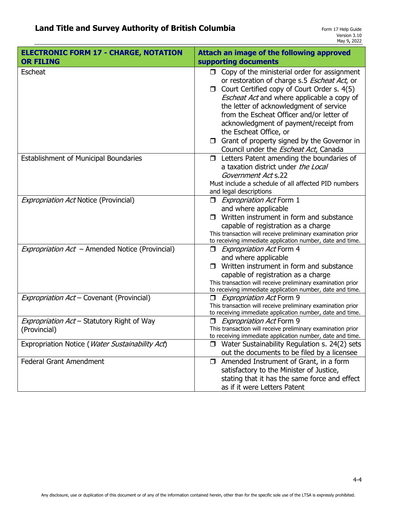| <b>ELECTRONIC FORM 17 - CHARGE, NOTATION</b><br><b>OR FILING</b> | Attach an image of the following approved<br>supporting documents                                                                                                                                                                                                                                                                                                                                                                                                         |
|------------------------------------------------------------------|---------------------------------------------------------------------------------------------------------------------------------------------------------------------------------------------------------------------------------------------------------------------------------------------------------------------------------------------------------------------------------------------------------------------------------------------------------------------------|
| <b>Escheat</b>                                                   | Copy of the ministerial order for assignment<br>$\Box$<br>or restoration of charge s.5 Escheat Act, or<br>Court Certified copy of Court Order s. 4(5)<br>$\Box$<br>Escheat Act and where applicable a copy of<br>the letter of acknowledgment of service<br>from the Escheat Officer and/or letter of<br>acknowledgment of payment/receipt from<br>the Escheat Office, or<br>Grant of property signed by the Governor in<br>Council under the <i>Escheat Act</i> , Canada |
| <b>Establishment of Municipal Boundaries</b>                     | Letters Patent amending the boundaries of<br>□<br>a taxation district under the Local<br>Government Act s.22<br>Must include a schedule of all affected PID numbers<br>and legal descriptions                                                                                                                                                                                                                                                                             |
| <b>Expropriation Act Notice (Provincial)</b>                     | <i><u>Expropriation Act Form 1</u></i><br>and where applicable<br>Written instrument in form and substance<br>П.<br>capable of registration as a charge<br>This transaction will receive preliminary examination prior<br>to receiving immediate application number, date and time.                                                                                                                                                                                       |
| Expropriation Act - Amended Notice (Provincial)                  | <i>Expropriation Act</i> Form 4<br>$\Box$<br>and where applicable<br>Written instrument in form and substance<br>capable of registration as a charge<br>This transaction will receive preliminary examination prior<br>to receiving immediate application number, date and time.                                                                                                                                                                                          |
| Expropriation Act - Covenant (Provincial)                        | <b>Expropriation Act Form 9</b><br>This transaction will receive preliminary examination prior<br>to receiving immediate application number, date and time.                                                                                                                                                                                                                                                                                                               |
| Expropriation Act - Statutory Right of Way<br>(Provincial)       | <b>Expropriation Act Form 9</b><br>This transaction will receive preliminary examination prior<br>to receiving immediate application number, date and time.                                                                                                                                                                                                                                                                                                               |
| Expropriation Notice (Water Sustainability Act)                  | Water Sustainability Regulation s. 24(2) sets<br>out the documents to be filed by a licensee                                                                                                                                                                                                                                                                                                                                                                              |
| <b>Federal Grant Amendment</b>                                   | Amended Instrument of Grant, in a form<br>$\Box$<br>satisfactory to the Minister of Justice,<br>stating that it has the same force and effect<br>as if it were Letters Patent                                                                                                                                                                                                                                                                                             |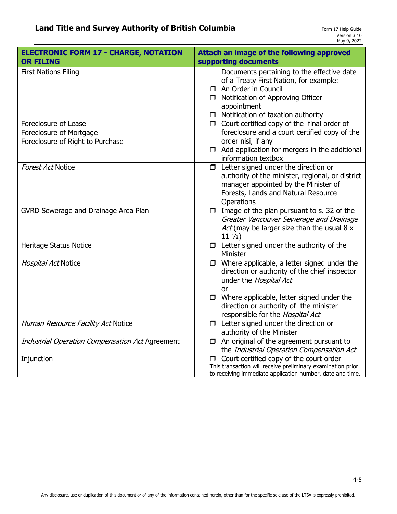| <b>ELECTRONIC FORM 17 - CHARGE, NOTATION</b><br><b>OR FILING</b> | Attach an image of the following approved<br>supporting documents                                                                                                                                                                   |
|------------------------------------------------------------------|-------------------------------------------------------------------------------------------------------------------------------------------------------------------------------------------------------------------------------------|
| <b>First Nations Filing</b>                                      | Documents pertaining to the effective date<br>of a Treaty First Nation, for example:<br>An Order in Council<br>$\Box$<br>Notification of Approving Officer<br>$\Box$<br>appointment<br>Notification of taxation authority<br>$\Box$ |
| Foreclosure of Lease                                             | Court certified copy of the final order of<br>$\Box$                                                                                                                                                                                |
| Foreclosure of Mortgage                                          | foreclosure and a court certified copy of the                                                                                                                                                                                       |
| Foreclosure of Right to Purchase                                 | order nisi, if any<br>Add application for mergers in the additional<br>$\Box$<br>information textbox                                                                                                                                |
| <b>Forest Act Notice</b>                                         | Letter signed under the direction or<br>$\Box$<br>authority of the minister, regional, or district<br>manager appointed by the Minister of<br>Forests, Lands and Natural Resource<br>Operations                                     |
| GVRD Sewerage and Drainage Area Plan                             | Image of the plan pursuant to s. 32 of the<br>$\Box$<br>Greater Vancouver Sewerage and Drainage<br>Act (may be larger size than the usual 8 x<br>$11 \frac{1}{2}$                                                                   |
| Heritage Status Notice                                           | $\Box$ Letter signed under the authority of the<br>Minister                                                                                                                                                                         |
| Hospital Act Notice                                              | Where applicable, a letter signed under the<br>$\Box$<br>direction or authority of the chief inspector<br>under the Hospital Act<br>0r<br>$\Box$ Where applicable, letter signed under the                                          |
|                                                                  | direction or authority of the minister<br>responsible for the Hospital Act                                                                                                                                                          |
| Human Resource Facility Act Notice                               | $\Box$ Letter signed under the direction or<br>authority of the Minister                                                                                                                                                            |
| Industrial Operation Compensation Act Agreement                  | An original of the agreement pursuant to<br>$\Box$<br>the Industrial Operation Compensation Act                                                                                                                                     |
| Injunction                                                       | Court certified copy of the court order<br>$\Box$<br>This transaction will receive preliminary examination prior<br>to receiving immediate application number, date and time.                                                       |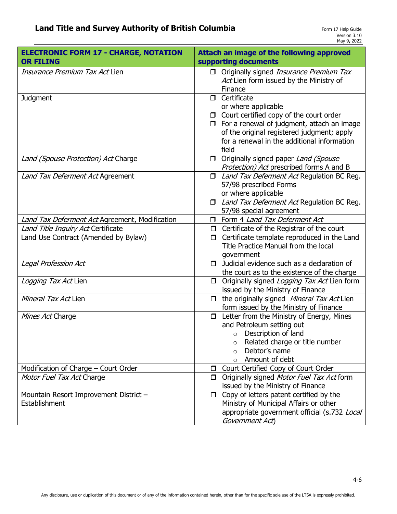| <b>ELECTRONIC FORM 17 - CHARGE, NOTATION</b><br><b>OR FILING</b> | Attach an image of the following approved<br>supporting documents                             |
|------------------------------------------------------------------|-----------------------------------------------------------------------------------------------|
| Insurance Premium Tax Act Lien                                   | Originally signed Insurance Premium Tax<br>Act Lien form issued by the Ministry of<br>Finance |
| <b>Judgment</b>                                                  | Certificate<br>$\Box$                                                                         |
|                                                                  | or where applicable                                                                           |
|                                                                  | $\Box$ Court certified copy of the court order                                                |
|                                                                  | $\Box$ For a renewal of judgment, attach an image                                             |
|                                                                  | of the original registered judgment; apply                                                    |
|                                                                  | for a renewal in the additional information                                                   |
|                                                                  | field                                                                                         |
| Land (Spouse Protection) Act Charge                              | Originally signed paper Land (Spouse                                                          |
|                                                                  | Protection) Act prescribed forms A and B                                                      |
| Land Tax Deferment Act Agreement                                 | Land Tax Deferment Act Regulation BC Reg.<br>$\Box$                                           |
|                                                                  | 57/98 prescribed Forms                                                                        |
|                                                                  | or where applicable                                                                           |
|                                                                  | <i><b>I</b></i> Land Tax Deferment Act Regulation BC Reg.                                     |
|                                                                  | 57/98 special agreement                                                                       |
| Land Tax Deferment Act Agreement, Modification                   | Form 4 Land Tax Deferment Act                                                                 |
| Land Title Inquiry Act Certificate                               | $\Box$ Certificate of the Registrar of the court                                              |
| Land Use Contract (Amended by Bylaw)                             | Certificate template reproduced in the Land<br>$\Box$<br>Title Practice Manual from the local |
|                                                                  |                                                                                               |
| Legal Profession Act                                             | government<br>Judicial evidence such as a declaration of<br>$\Box$                            |
|                                                                  | the court as to the existence of the charge                                                   |
| Logging Tax Act Lien                                             | Originally signed Logging Tax Act Lien form<br>$\Box$                                         |
|                                                                  | issued by the Ministry of Finance                                                             |
| Mineral Tax Act Lien                                             | the originally signed Mineral Tax Act Lien<br>$\Box$                                          |
|                                                                  | form issued by the Ministry of Finance                                                        |
| Mines Act Charge                                                 | Letter from the Ministry of Energy, Mines<br>$\Box$                                           |
|                                                                  | and Petroleum setting out                                                                     |
|                                                                  | Description of land<br>$\circ$                                                                |
|                                                                  | Related charge or title number<br>$\Omega$                                                    |
|                                                                  | Debtor's name<br>$\circ$                                                                      |
|                                                                  | Amount of debt<br>$\circ$                                                                     |
| Modification of Charge - Court Order                             | Court Certified Copy of Court Order<br>$\Box$                                                 |
| Motor Fuel Tax Act Charge                                        | Originally signed Motor Fuel Tax Act form<br>$\Box$                                           |
|                                                                  | issued by the Ministry of Finance                                                             |
| Mountain Resort Improvement District -                           | Copy of letters patent certified by the<br>$\Box$                                             |
| Establishment                                                    | Ministry of Municipal Affairs or other                                                        |
|                                                                  | appropriate government official (s.732 Local                                                  |
|                                                                  | Government Act)                                                                               |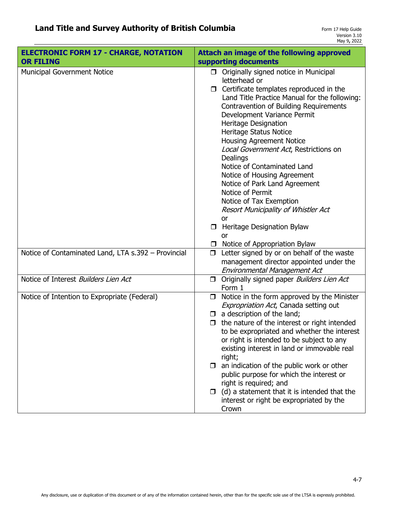| <b>ELECTRONIC FORM 17 - CHARGE, NOTATION</b><br><b>OR FILING</b> | Attach an image of the following approved<br>supporting documents                                                                                                                                                                                                                                                                                                                                                                                                                                                                                                                                                                                            |
|------------------------------------------------------------------|--------------------------------------------------------------------------------------------------------------------------------------------------------------------------------------------------------------------------------------------------------------------------------------------------------------------------------------------------------------------------------------------------------------------------------------------------------------------------------------------------------------------------------------------------------------------------------------------------------------------------------------------------------------|
| <b>Municipal Government Notice</b>                               | $\Box$ Originally signed notice in Municipal<br>letterhead or<br>Certificate templates reproduced in the<br>Land Title Practice Manual for the following:<br>Contravention of Building Requirements<br>Development Variance Permit<br>Heritage Designation<br>Heritage Status Notice<br><b>Housing Agreement Notice</b><br>Local Government Act, Restrictions on<br>Dealings<br>Notice of Contaminated Land<br>Notice of Housing Agreement<br>Notice of Park Land Agreement<br>Notice of Permit<br>Notice of Tax Exemption<br>Resort Municipality of Whistler Act<br>or<br><b>D</b> Heritage Designation Bylaw<br>or<br>$\Box$ Notice of Appropriation Bylaw |
| Notice of Contaminated Land, LTA s.392 - Provincial              | Letter signed by or on behalf of the waste<br>$\Box$<br>management director appointed under the<br>Environmental Management Act                                                                                                                                                                                                                                                                                                                                                                                                                                                                                                                              |
| Notice of Interest Builders Lien Act                             | Originally signed paper Builders Lien Act<br>$\Box$<br>Form 1                                                                                                                                                                                                                                                                                                                                                                                                                                                                                                                                                                                                |
| Notice of Intention to Expropriate (Federal)                     | Notice in the form approved by the Minister<br>$\Box$<br>Expropriation Act, Canada setting out<br>a description of the land;<br>$\Box$<br>the nature of the interest or right intended<br>$\Box$<br>to be expropriated and whether the interest<br>or right is intended to be subject to any<br>existing interest in land or immovable real<br>right;<br>an indication of the public work or other<br>$\Box$<br>public purpose for which the interest or<br>right is required; and<br>(d) a statement that it is intended that the<br>$\Box$<br>interest or right be expropriated by the<br>Crown                                                            |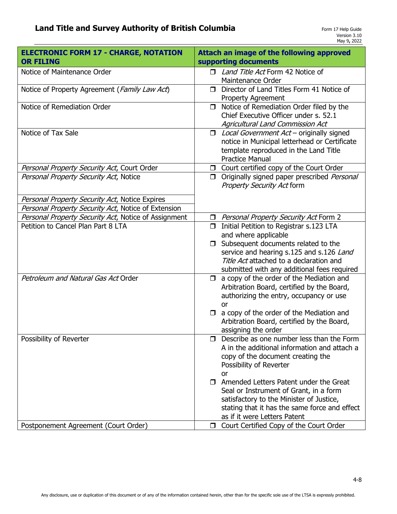| <b>ELECTRONIC FORM 17 - CHARGE, NOTATION</b><br><b>OR FILING</b> | Attach an image of the following approved<br>supporting documents                                                                                                                                                    |
|------------------------------------------------------------------|----------------------------------------------------------------------------------------------------------------------------------------------------------------------------------------------------------------------|
| Notice of Maintenance Order                                      | Land Title Act Form 42 Notice of<br>□<br>Maintenance Order                                                                                                                                                           |
| Notice of Property Agreement (Family Law Act)                    | Director of Land Titles Form 41 Notice of<br>$\Box$<br><b>Property Agreement</b>                                                                                                                                     |
| Notice of Remediation Order                                      | Notice of Remediation Order filed by the<br>$\Box$<br>Chief Executive Officer under s. 52.1<br>Agricultural Land Commission Act                                                                                      |
| Notice of Tax Sale                                               | Local Government Act - originally signed<br>$\Box$<br>notice in Municipal letterhead or Certificate<br>template reproduced in the Land Title<br><b>Practice Manual</b>                                               |
| Personal Property Security Act, Court Order                      | Court certified copy of the Court Order<br>$\Box$                                                                                                                                                                    |
| Personal Property Security Act, Notice                           | Originally signed paper prescribed Personal<br>$\Box$<br><b>Property Security Act form</b>                                                                                                                           |
| Personal Property Security Act, Notice Expires                   |                                                                                                                                                                                                                      |
| Personal Property Security Act, Notice of Extension              |                                                                                                                                                                                                                      |
| Personal Property Security Act, Notice of Assignment             | □ <i>Personal Property Security Act</i> Form 2                                                                                                                                                                       |
| Petition to Cancel Plan Part 8 LTA                               | Initial Petition to Registrar s.123 LTA<br>$\Box$<br>and where applicable                                                                                                                                            |
|                                                                  | Subsequent documents related to the<br>$\Box$<br>service and hearing s.125 and s.126 Land<br>Title Act attached to a declaration and<br>submitted with any additional fees required                                  |
| Petroleum and Natural Gas Act Order                              | a copy of the order of the Mediation and<br>$\Box$<br>Arbitration Board, certified by the Board,<br>authorizing the entry, occupancy or use<br>or                                                                    |
|                                                                  | $\Box$ a copy of the order of the Mediation and<br>Arbitration Board, certified by the Board,<br>assigning the order                                                                                                 |
| Possibility of Reverter                                          | $\Box$ Describe as one number less than the Form<br>A in the additional information and attach a<br>copy of the document creating the<br>Possibility of Reverter<br>or                                               |
|                                                                  | $\Box$ Amended Letters Patent under the Great<br>Seal or Instrument of Grant, in a form<br>satisfactory to the Minister of Justice,<br>stating that it has the same force and effect<br>as if it were Letters Patent |
| Postponement Agreement (Court Order)                             | Court Certified Copy of the Court Order<br>$\Box$                                                                                                                                                                    |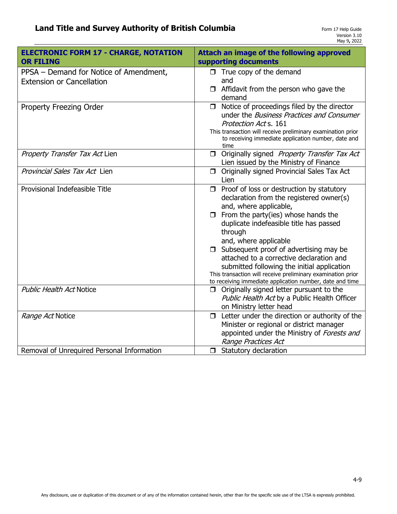| <b>ELECTRONIC FORM 17 - CHARGE, NOTATION</b><br><b>OR FILING</b> | Attach an image of the following approved<br>supporting documents                                         |
|------------------------------------------------------------------|-----------------------------------------------------------------------------------------------------------|
| PPSA - Demand for Notice of Amendment,                           | $\Box$ True copy of the demand                                                                            |
| <b>Extension or Cancellation</b>                                 | and<br>Affidavit from the person who gave the                                                             |
|                                                                  | demand                                                                                                    |
| Property Freezing Order                                          | Notice of proceedings filed by the director<br>$\Box$<br>under the <i>Business Practices and Consumer</i> |
|                                                                  | Protection Act s. 161                                                                                     |
|                                                                  | This transaction will receive preliminary examination prior                                               |
|                                                                  | to receiving immediate application number, date and<br>time                                               |
| Property Transfer Tax Act Lien                                   | Originally signed Property Transfer Tax Act<br>$\Box$                                                     |
| Provincial Sales Tax Act Lien                                    | Lien issued by the Ministry of Finance<br>Originally signed Provincial Sales Tax Act<br>$\Box$            |
|                                                                  | Lien                                                                                                      |
| Provisional Indefeasible Title                                   | Proof of loss or destruction by statutory<br>$\Box$                                                       |
|                                                                  | declaration from the registered owner(s)<br>and, where applicable,                                        |
|                                                                  | $\Box$ From the party(ies) whose hands the                                                                |
|                                                                  | duplicate indefeasible title has passed                                                                   |
|                                                                  | through                                                                                                   |
|                                                                  | and, where applicable                                                                                     |
|                                                                  | Subsequent proof of advertising may be<br>$\Box$<br>attached to a corrective declaration and              |
|                                                                  | submitted following the initial application                                                               |
|                                                                  | This transaction will receive preliminary examination prior                                               |
| <b>Public Health Act Notice</b>                                  | to receiving immediate application number, date and time                                                  |
|                                                                  | Originally signed letter pursuant to the<br>$\Box$<br>Public Health Act by a Public Health Officer        |
|                                                                  | on Ministry letter head                                                                                   |
| Range Act Notice                                                 | Letter under the direction or authority of the<br>$\Box$                                                  |
|                                                                  | Minister or regional or district manager                                                                  |
|                                                                  | appointed under the Ministry of Forests and                                                               |
|                                                                  | Range Practices Act                                                                                       |
| Removal of Unrequired Personal Information                       | Statutory declaration<br>$\Box$                                                                           |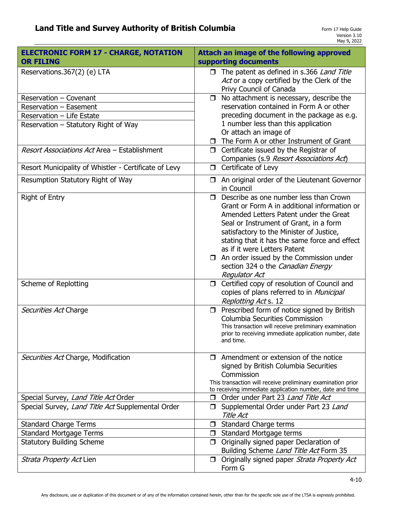| <b>ELECTRONIC FORM 17 - CHARGE, NOTATION</b><br><b>OR FILING</b> | Attach an image of the following approved<br>supporting documents                                                                                                                                                                                                                                                                                                                                    |
|------------------------------------------------------------------|------------------------------------------------------------------------------------------------------------------------------------------------------------------------------------------------------------------------------------------------------------------------------------------------------------------------------------------------------------------------------------------------------|
| Reservations.367(2) (e) LTA                                      | The patent as defined in s.366 Land Title<br>Act or a copy certified by the Clerk of the<br>Privy Council of Canada                                                                                                                                                                                                                                                                                  |
| Reservation - Covenant                                           | No attachment is necessary, describe the<br>$\Box$                                                                                                                                                                                                                                                                                                                                                   |
| Reservation - Easement                                           | reservation contained in Form A or other                                                                                                                                                                                                                                                                                                                                                             |
| Reservation - Life Estate                                        | preceding document in the package as e.g.                                                                                                                                                                                                                                                                                                                                                            |
| Reservation – Statutory Right of Way                             | 1 number less than this application<br>Or attach an image of                                                                                                                                                                                                                                                                                                                                         |
|                                                                  | The Form A or other Instrument of Grant<br>$\Box$                                                                                                                                                                                                                                                                                                                                                    |
| Resort Associations Act Area - Establishment                     | $\Box$ Certificate issued by the Registrar of<br>Companies (s.9 Resort Associations Act)                                                                                                                                                                                                                                                                                                             |
| Resort Municipality of Whistler - Certificate of Levy            | Certificate of Levy<br>$\Box$                                                                                                                                                                                                                                                                                                                                                                        |
| Resumption Statutory Right of Way                                | An original order of the Lieutenant Governor<br>$\Box$<br>in Council                                                                                                                                                                                                                                                                                                                                 |
| <b>Right of Entry</b>                                            | Describe as one number less than Crown<br>П.<br>Grant or Form A in additional information or<br>Amended Letters Patent under the Great<br>Seal or Instrument of Grant, in a form<br>satisfactory to the Minister of Justice,<br>stating that it has the same force and effect<br>as if it were Letters Patent<br>$\Box$ An order issued by the Commission under<br>section 324 o the Canadian Energy |
|                                                                  | <b>Regulator Act</b>                                                                                                                                                                                                                                                                                                                                                                                 |
| Scheme of Replotting                                             | Certified copy of resolution of Council and<br>$\Box$<br>copies of plans referred to in Municipal<br>Replotting Act s. 12                                                                                                                                                                                                                                                                            |
| Securities Act Charge                                            | $\Box$ Prescribed form of notice signed by British<br><b>Columbia Securities Commission</b><br>This transaction will receive preliminary examination<br>prior to receiving immediate application number, date<br>and time.                                                                                                                                                                           |
| Securities Act Charge, Modification                              | $\Box$ Amendment or extension of the notice<br>signed by British Columbia Securities<br>Commission<br>This transaction will receive preliminary examination prior<br>to receiving immediate application number, date and time                                                                                                                                                                        |
| Special Survey, Land Title Act Order                             | Order under Part 23 Land Title Act<br>□                                                                                                                                                                                                                                                                                                                                                              |
| Special Survey, Land Title Act Supplemental Order                | □ Supplemental Order under Part 23 Land<br>Title Act                                                                                                                                                                                                                                                                                                                                                 |
| <b>Standard Charge Terms</b>                                     | Standard Charge terms<br>□                                                                                                                                                                                                                                                                                                                                                                           |
| <b>Standard Mortgage Terms</b>                                   | Standard Mortgage terms<br>$\Box$                                                                                                                                                                                                                                                                                                                                                                    |
| <b>Statutory Building Scheme</b>                                 | Originally signed paper Declaration of<br>$\Box$<br>Building Scheme Land Title Act Form 35                                                                                                                                                                                                                                                                                                           |
| <i>Strata Property Act</i> Lien                                  | Originally signed paper Strata Property Act<br>$\Box$<br>Form G                                                                                                                                                                                                                                                                                                                                      |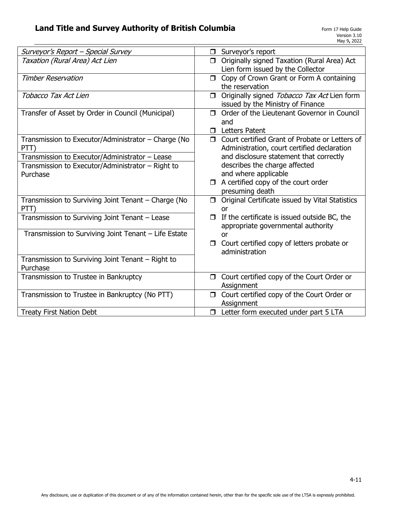| Surveyor's Report - Special Survey                   | $\Box$ Surveyor's report                                  |
|------------------------------------------------------|-----------------------------------------------------------|
| Taxation (Rural Area) Act Lien                       | Originally signed Taxation (Rural Area) Act<br>$\Box$     |
|                                                      | Lien form issued by the Collector                         |
| <b>Timber Reservation</b>                            | Copy of Crown Grant or Form A containing<br>$\Box$        |
|                                                      | the reservation                                           |
| Tobacco Tax Act Lien                                 | Originally signed Tobacco Tax Act Lien form<br>$\Box$     |
|                                                      | issued by the Ministry of Finance                         |
| Transfer of Asset by Order in Council (Municipal)    | Order of the Lieutenant Governor in Council<br>$\Box$     |
|                                                      | and                                                       |
|                                                      |                                                           |
|                                                      | <b>Letters Patent</b><br>$\Box$                           |
| Transmission to Executor/Administrator – Charge (No  | Court certified Grant of Probate or Letters of<br>$\Box$  |
| PTT)                                                 | Administration, court certified declaration               |
| Transmission to Executor/Administrator - Lease       | and disclosure statement that correctly                   |
| Transmission to Executor/Administrator – Right to    | describes the charge affected                             |
| Purchase                                             | and where applicable                                      |
|                                                      | A certified copy of the court order<br>$\Box$             |
|                                                      | presuming death                                           |
| Transmission to Surviving Joint Tenant - Charge (No  | Original Certificate issued by Vital Statistics<br>$\Box$ |
| PTT)                                                 | or                                                        |
| Transmission to Surviving Joint Tenant - Lease       | If the certificate is issued outside BC, the<br>$\Box$    |
|                                                      | appropriate governmental authority                        |
| Transmission to Surviving Joint Tenant - Life Estate |                                                           |
|                                                      | <b>or</b>                                                 |
|                                                      | Court certified copy of letters probate or                |
|                                                      | administration                                            |
| Transmission to Surviving Joint Tenant - Right to    |                                                           |
| Purchase                                             |                                                           |
| Transmission to Trustee in Bankruptcy                | Court certified copy of the Court Order or<br>$\Box$      |
|                                                      | Assignment                                                |
| Transmission to Trustee in Bankruptcy (No PTT)       | Court certified copy of the Court Order or<br>$\Box$      |
|                                                      | Assignment                                                |
| <b>Treaty First Nation Debt</b>                      | Letter form executed under part 5 LTA<br>$\Box$           |
|                                                      |                                                           |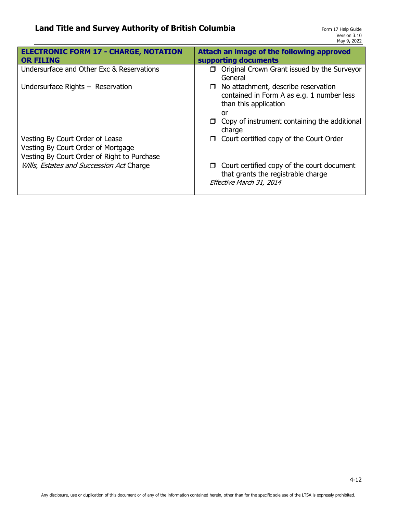| <b>ELECTRONIC FORM 17 - CHARGE, NOTATION</b><br><b>OR FILING</b> | Attach an image of the following approved<br>supporting documents                                                                                                                             |
|------------------------------------------------------------------|-----------------------------------------------------------------------------------------------------------------------------------------------------------------------------------------------|
| Undersurface and Other Exc & Reservations                        | Original Crown Grant issued by the Surveyor<br>General                                                                                                                                        |
| Undersurface Rights $-$ Reservation                              | No attachment, describe reservation<br>$\Box$<br>contained in Form A as e.g. 1 number less<br>than this application<br>or<br>Copy of instrument containing the additional<br>$\Box$<br>charge |
| Vesting By Court Order of Lease                                  | Court certified copy of the Court Order<br>Ω.                                                                                                                                                 |
| Vesting By Court Order of Mortgage                               |                                                                                                                                                                                               |
| Vesting By Court Order of Right to Purchase                      |                                                                                                                                                                                               |
| Wills, Estates and Succession Act Charge                         | Court certified copy of the court document<br>$\Box$<br>that grants the registrable charge<br>Effective March 31, 2014                                                                        |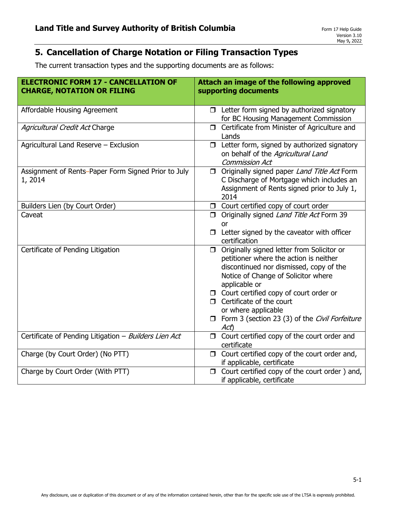# **5. Cancellation of Charge Notation or Filing Transaction Types**

The current transaction types and the supporting documents are as follows:

| <b>ELECTRONIC FORM 17 - CANCELLATION OF</b><br><b>CHARGE, NOTATION OR FILING</b> | Attach an image of the following approved<br>supporting documents                                                                                                                         |
|----------------------------------------------------------------------------------|-------------------------------------------------------------------------------------------------------------------------------------------------------------------------------------------|
| Affordable Housing Agreement                                                     | $\Box$ Letter form signed by authorized signatory<br>for BC Housing Management Commission                                                                                                 |
| Agricultural Credit Act Charge                                                   | Certificate from Minister of Agriculture and<br>$\Box$<br>Lands                                                                                                                           |
| Agricultural Land Reserve - Exclusion                                            | $\Box$ Letter form, signed by authorized signatory<br>on behalf of the Agricultural Land<br><b>Commission Act</b>                                                                         |
| Assignment of Rents-Paper Form Signed Prior to July<br>1, 2014                   | Originally signed paper Land Title Act Form<br>□<br>C Discharge of Mortgage which includes an<br>Assignment of Rents signed prior to July 1,<br>2014                                      |
| Builders Lien (by Court Order)                                                   | Court certified copy of court order<br>$\Box$                                                                                                                                             |
| Caveat                                                                           | Originally signed Land Title Act Form 39<br>$\Box$                                                                                                                                        |
|                                                                                  | or<br>$\Box$ Letter signed by the caveator with officer<br>certification                                                                                                                  |
| Certificate of Pending Litigation                                                | □ Originally signed letter from Solicitor or<br>petitioner where the action is neither<br>discontinued nor dismissed, copy of the<br>Notice of Change of Solicitor where<br>applicable or |
|                                                                                  | $\Box$ Court certified copy of court order or                                                                                                                                             |
|                                                                                  | $\Box$ Certificate of the court<br>or where applicable                                                                                                                                    |
|                                                                                  | □ Form 3 (section 23 (3) of the Civil Forfeiture<br>Act)                                                                                                                                  |
| Certificate of Pending Litigation - Builders Lien Act                            | $\Box$ Court certified copy of the court order and<br>certificate                                                                                                                         |
| Charge (by Court Order) (No PTT)                                                 | $\Box$ Court certified copy of the court order and,<br>if applicable, certificate                                                                                                         |
| Charge by Court Order (With PTT)                                                 | Court certified copy of the court order) and,<br>$\Box$<br>if applicable, certificate                                                                                                     |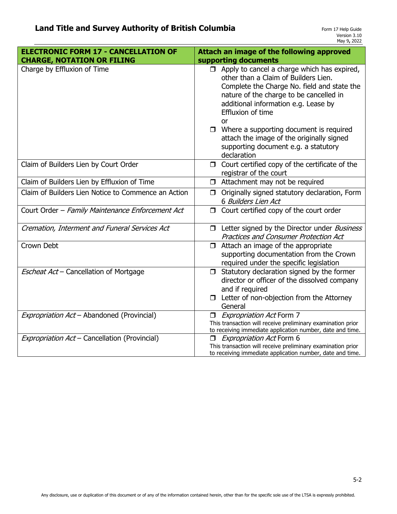| <b>ELECTRONIC FORM 17 - CANCELLATION OF</b>         | Attach an image of the following approved                                                                                                                                                                                                                      |
|-----------------------------------------------------|----------------------------------------------------------------------------------------------------------------------------------------------------------------------------------------------------------------------------------------------------------------|
| <b>CHARGE, NOTATION OR FILING</b>                   | supporting documents                                                                                                                                                                                                                                           |
| Charge by Effluxion of Time                         | $\Box$ Apply to cancel a charge which has expired,<br>other than a Claim of Builders Lien.<br>Complete the Charge No. field and state the<br>nature of the charge to be cancelled in<br>additional information e.g. Lease by<br>Effluxion of time<br><b>or</b> |
|                                                     | $\Box$ Where a supporting document is required<br>attach the image of the originally signed<br>supporting document e.g. a statutory<br>declaration                                                                                                             |
| Claim of Builders Lien by Court Order               | $\Box$ Court certified copy of the certificate of the<br>registrar of the court                                                                                                                                                                                |
| Claim of Builders Lien by Effluxion of Time         | $\Box$ Attachment may not be required                                                                                                                                                                                                                          |
| Claim of Builders Lien Notice to Commence an Action | Originally signed statutory declaration, Form<br>0<br>6 Builders Lien Act                                                                                                                                                                                      |
| Court Order - Family Maintenance Enforcement Act    | $\Box$ Court certified copy of the court order                                                                                                                                                                                                                 |
| Cremation, Interment and Funeral Services Act       | <b>I</b> Letter signed by the Director under <i>Business</i><br><b>Practices and Consumer Protection Act</b>                                                                                                                                                   |
| Crown Debt                                          | $\Box$ Attach an image of the appropriate<br>supporting documentation from the Crown<br>required under the specific legislation                                                                                                                                |
| Escheat Act - Cancellation of Mortgage              | $\Box$ Statutory declaration signed by the former<br>director or officer of the dissolved company<br>and if required<br>$\Box$ Letter of non-objection from the Attorney<br>General                                                                            |
| Expropriation Act - Abandoned (Provincial)          | <b>Expropriation Act Form 7</b><br>$\Box$<br>This transaction will receive preliminary examination prior<br>to receiving immediate application number, date and time.                                                                                          |
| Expropriation Act - Cancellation (Provincial)       | <b>Expropriation Act Form 6</b><br>$\Box$<br>This transaction will receive preliminary examination prior<br>to receiving immediate application number, date and time.                                                                                          |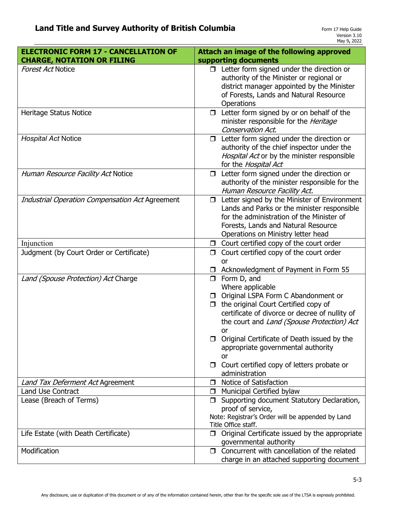| <b>ELECTRONIC FORM 17 - CANCELLATION OF</b>                             | Attach an image of the following approved                                                                                                                                                                                                                                                                                                                                                                                                                                               |
|-------------------------------------------------------------------------|-----------------------------------------------------------------------------------------------------------------------------------------------------------------------------------------------------------------------------------------------------------------------------------------------------------------------------------------------------------------------------------------------------------------------------------------------------------------------------------------|
| <b>CHARGE, NOTATION OR FILING</b>                                       | supporting documents                                                                                                                                                                                                                                                                                                                                                                                                                                                                    |
| <b>Forest Act Notice</b>                                                | $\Box$ Letter form signed under the direction or<br>authority of the Minister or regional or<br>district manager appointed by the Minister<br>of Forests, Lands and Natural Resource                                                                                                                                                                                                                                                                                                    |
|                                                                         | Operations                                                                                                                                                                                                                                                                                                                                                                                                                                                                              |
| Heritage Status Notice                                                  | $\Box$ Letter form signed by or on behalf of the<br>minister responsible for the Heritage<br>Conservation Act.                                                                                                                                                                                                                                                                                                                                                                          |
| <b>Hospital Act Notice</b>                                              | Letter form signed under the direction or<br>$\Box$<br>authority of the chief inspector under the<br>Hospital Act or by the minister responsible<br>for the Hospital Act                                                                                                                                                                                                                                                                                                                |
| Human Resource Facility Act Notice                                      | Letter form signed under the direction or<br>$\Box$<br>authority of the minister responsible for the<br>Human Resource Facility Act.                                                                                                                                                                                                                                                                                                                                                    |
| <b>Industrial Operation Compensation Act Agreement</b>                  | Letter signed by the Minister of Environment<br>0<br>Lands and Parks or the minister responsible<br>for the administration of the Minister of<br>Forests, Lands and Natural Resource<br>Operations on Ministry letter head                                                                                                                                                                                                                                                              |
| Injunction                                                              | $\Box$ Court certified copy of the court order                                                                                                                                                                                                                                                                                                                                                                                                                                          |
| Judgment (by Court Order or Certificate)                                | Court certified copy of the court order<br>$\Box$<br>or                                                                                                                                                                                                                                                                                                                                                                                                                                 |
| Land (Spouse Protection) Act Charge<br>Land Tax Deferment Act Agreement | Acknowledgment of Payment in Form 55<br>$\Box$ Form D, and<br>Where applicable<br>□ Original LSPA Form C Abandonment or<br>the original Court Certified copy of<br>$\Box$<br>certificate of divorce or decree of nullity of<br>the court and Land (Spouse Protection) Act<br>or<br>□ Original Certificate of Death issued by the<br>appropriate governmental authority<br><b>or</b><br>Court certified copy of letters probate or<br>administration<br>Notice of Satisfaction<br>$\Box$ |
| <b>Land Use Contract</b>                                                | Municipal Certified bylaw<br>□                                                                                                                                                                                                                                                                                                                                                                                                                                                          |
| Lease (Breach of Terms)                                                 | Supporting document Statutory Declaration,<br>□<br>proof of service,<br>Note: Registrar's Order will be appended by Land<br>Title Office staff.                                                                                                                                                                                                                                                                                                                                         |
| Life Estate (with Death Certificate)                                    | $\Box$ Original Certificate issued by the appropriate<br>governmental authority                                                                                                                                                                                                                                                                                                                                                                                                         |
| Modification                                                            | $\Box$ Concurrent with cancellation of the related<br>charge in an attached supporting document                                                                                                                                                                                                                                                                                                                                                                                         |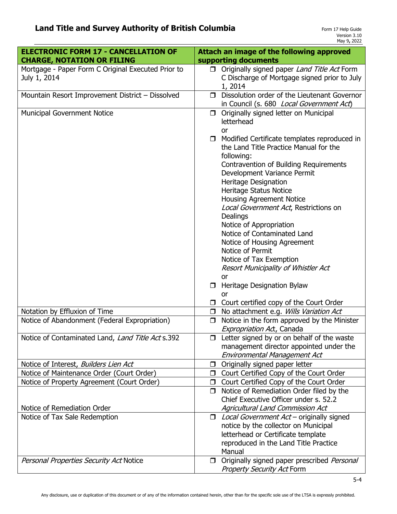| <b>ELECTRONIC FORM 17 - CANCELLATION OF</b>        | Attach an image of the following approved                                                  |
|----------------------------------------------------|--------------------------------------------------------------------------------------------|
| <b>CHARGE, NOTATION OR FILING</b>                  | supporting documents                                                                       |
| Mortgage - Paper Form C Original Executed Prior to | □ Originally signed paper Land Title Act Form                                              |
| July 1, 2014                                       | C Discharge of Mortgage signed prior to July                                               |
|                                                    | 1, 2014                                                                                    |
| Mountain Resort Improvement District - Dissolved   | Dissolution order of the Lieutenant Governor<br>$\Box$                                     |
|                                                    | in Council (s. 680 Local Government Act)                                                   |
| <b>Municipal Government Notice</b>                 | Originally signed letter on Municipal<br>$\Box$<br>letterhead                              |
|                                                    | or                                                                                         |
|                                                    | $\Box$ Modified Certificate templates reproduced in                                        |
|                                                    | the Land Title Practice Manual for the                                                     |
|                                                    | following:                                                                                 |
|                                                    | Contravention of Building Requirements                                                     |
|                                                    | Development Variance Permit                                                                |
|                                                    | Heritage Designation                                                                       |
|                                                    | Heritage Status Notice                                                                     |
|                                                    | <b>Housing Agreement Notice</b>                                                            |
|                                                    | Local Government Act, Restrictions on                                                      |
|                                                    | Dealings                                                                                   |
|                                                    | Notice of Appropriation<br>Notice of Contaminated Land                                     |
|                                                    | Notice of Housing Agreement                                                                |
|                                                    | Notice of Permit                                                                           |
|                                                    | Notice of Tax Exemption                                                                    |
|                                                    | Resort Municipality of Whistler Act                                                        |
|                                                    | or                                                                                         |
|                                                    | Heritage Designation Bylaw<br>□                                                            |
|                                                    | <b>or</b>                                                                                  |
|                                                    | Court certified copy of the Court Order                                                    |
| Notation by Effluxion of Time                      | No attachment e.g. Wills Variation Act<br>$\Box$                                           |
| Notice of Abandonment (Federal Expropriation)      | Notice in the form approved by the Minister<br>$\Box$                                      |
| Notice of Contaminated Land, Land Title Act s.392  | Expropriation Act, Canada<br>$\Box$ Letter signed by or on behalf of the waste             |
|                                                    | management director appointed under the                                                    |
|                                                    | Environmental Management Act                                                               |
| Notice of Interest, Builders Lien Act              | Originally signed paper letter<br>□                                                        |
| Notice of Maintenance Order (Court Order)          | □ Court Certified Copy of the Court Order                                                  |
| Notice of Property Agreement (Court Order)         | Court Certified Copy of the Court Order<br>$\Box$                                          |
|                                                    | Notice of Remediation Order filed by the<br>$\Box$                                         |
|                                                    | Chief Executive Officer under s. 52.2                                                      |
| Notice of Remediation Order                        | Agricultural Land Commission Act                                                           |
| Notice of Tax Sale Redemption                      | $\Box$ <i>Local Government Act</i> – originally signed                                     |
|                                                    | notice by the collector on Municipal                                                       |
|                                                    | letterhead or Certificate template                                                         |
|                                                    | reproduced in the Land Title Practice                                                      |
|                                                    | Manual                                                                                     |
|                                                    |                                                                                            |
| Personal Properties Security Act Notice            | Originally signed paper prescribed Personal<br>$\Box$<br><b>Property Security Act Form</b> |